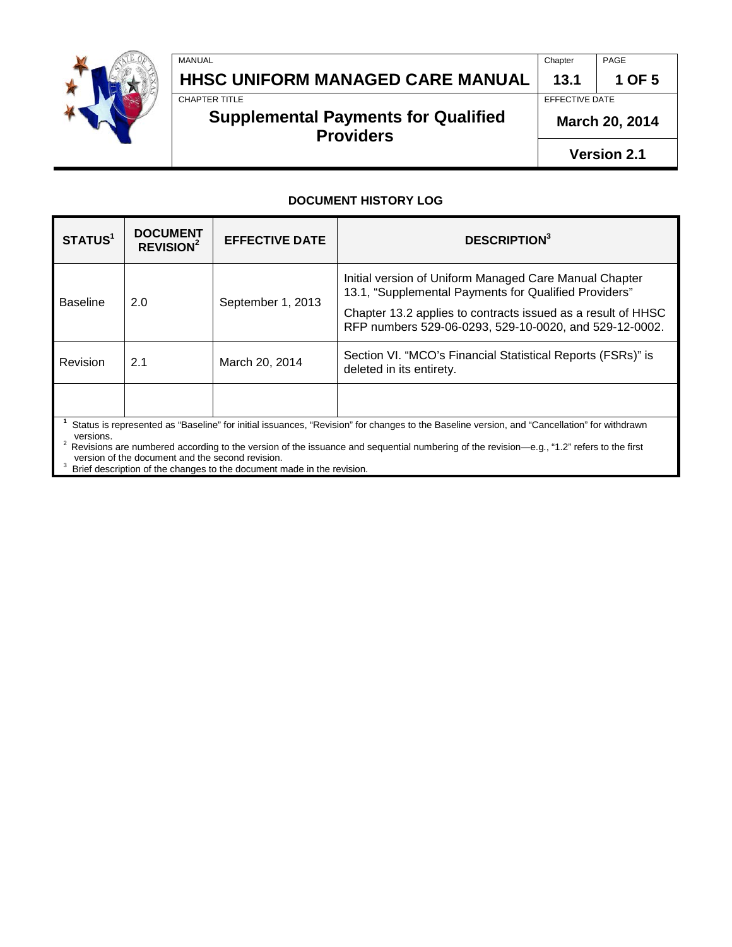

**HHSC UNIFORM MANAGED CARE MANUAL 13.1 1 OF 5**<br>CHAPTER TITLE

### **Supplemental Payments for Qualified Providers**

MANUAL Chapter PAGE

EFFECTIVE DATE

**March 20, 2014**

**Version 2.1**

#### **DOCUMENT HISTORY LOG**

| STATUS <sup>1</sup>                                                                                                                                      | <b>DOCUMENT</b><br><b>REVISION<sup>2</sup></b> | <b>EFFECTIVE DATE</b> | <b>DESCRIPTION</b> <sup>3</sup>                                                                                                                                                                                                           |  |  |
|----------------------------------------------------------------------------------------------------------------------------------------------------------|------------------------------------------------|-----------------------|-------------------------------------------------------------------------------------------------------------------------------------------------------------------------------------------------------------------------------------------|--|--|
| <b>Baseline</b>                                                                                                                                          | 2.0                                            | September 1, 2013     | Initial version of Uniform Managed Care Manual Chapter<br>13.1, "Supplemental Payments for Qualified Providers"<br>Chapter 13.2 applies to contracts issued as a result of HHSC<br>RFP numbers 529-06-0293, 529-10-0020, and 529-12-0002. |  |  |
| Revision                                                                                                                                                 | 2.1                                            | March 20, 2014        | Section VI. "MCO's Financial Statistical Reports (FSRs)" is<br>deleted in its entirety.                                                                                                                                                   |  |  |
|                                                                                                                                                          |                                                |                       |                                                                                                                                                                                                                                           |  |  |
| Status is represented as "Baseline" for initial issuances, "Revision" for changes to the Baseline version, and "Cancellation" for withdrawn<br>versions. |                                                |                       |                                                                                                                                                                                                                                           |  |  |

<sup>2</sup> Revisions are numbered according to the version of the issuance and sequential numbering of the revision—e.g., "1.2" refers to the first

version of the document and the second revision.<br><sup>3</sup> Brief description of the changes to the document made in the revision.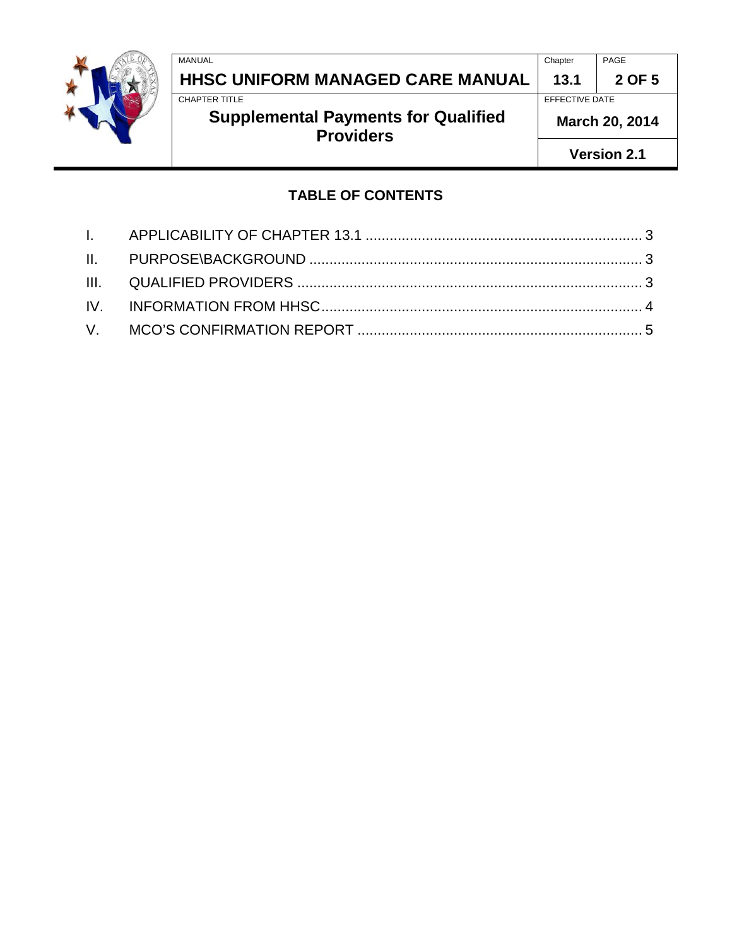

# MANUAL Chapter PAGE **HHSC UNIFORM MANAGED CARE MANUAL 13.1 2 OF 5**

## **Supplemental Payments for Qualified Providers**

EFFECTIVE DATE

**March 20, 2014**

**Version 2.1**

### **TABLE OF CONTENTS**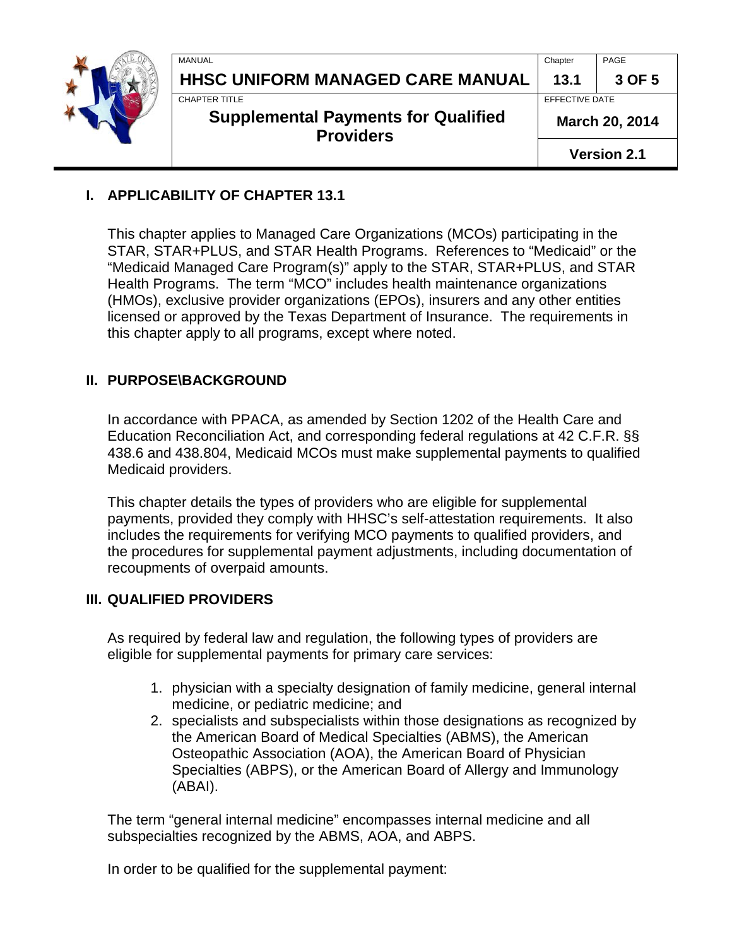|  | MANUAL<br>HHSC UNIFORM MANAGED CARE MANUAL                                      | Chapter<br>13.1                  | PAGE<br>3 OF 5 |
|--|---------------------------------------------------------------------------------|----------------------------------|----------------|
|  | CHAPTER TITLE<br><b>Supplemental Payments for Qualified</b><br><b>Providers</b> | EFFECTIVE DATE<br>March 20, 2014 |                |
|  |                                                                                 | <b>Version 2.1</b>               |                |

#### <span id="page-2-0"></span>**I. APPLICABILITY OF CHAPTER 13.1**

This chapter applies to Managed Care Organizations (MCOs) participating in the STAR, STAR+PLUS, and STAR Health Programs. References to "Medicaid" or the "Medicaid Managed Care Program(s)" apply to the STAR, STAR+PLUS, and STAR Health Programs. The term "MCO" includes health maintenance organizations (HMOs), exclusive provider organizations (EPOs), insurers and any other entities licensed or approved by the Texas Department of Insurance. The requirements in this chapter apply to all programs, except where noted.

### <span id="page-2-1"></span>**II. PURPOSE\BACKGROUND**

In accordance with PPACA, as amended by Section 1202 of the Health Care and Education Reconciliation Act, and corresponding federal regulations at 42 C.F.R. §§ 438.6 and 438.804, Medicaid MCOs must make supplemental payments to qualified Medicaid providers.

This chapter details the types of providers who are eligible for supplemental payments, provided they comply with HHSC's self-attestation requirements. It also includes the requirements for verifying MCO payments to qualified providers, and the procedures for supplemental payment adjustments, including documentation of recoupments of overpaid amounts.

#### <span id="page-2-2"></span>**III. QUALIFIED PROVIDERS**

As required by federal law and regulation, the following types of providers are eligible for supplemental payments for primary care services:

- 1. physician with a specialty designation of family medicine, general internal medicine, or pediatric medicine; and
- 2. specialists and subspecialists within those designations as recognized by the American Board of Medical Specialties (ABMS), the American Osteopathic Association (AOA), the American Board of Physician Specialties (ABPS), or the American Board of Allergy and Immunology (ABAI).

The term "general internal medicine" encompasses internal medicine and all subspecialties recognized by the ABMS, AOA, and ABPS.

In order to be qualified for the supplemental payment: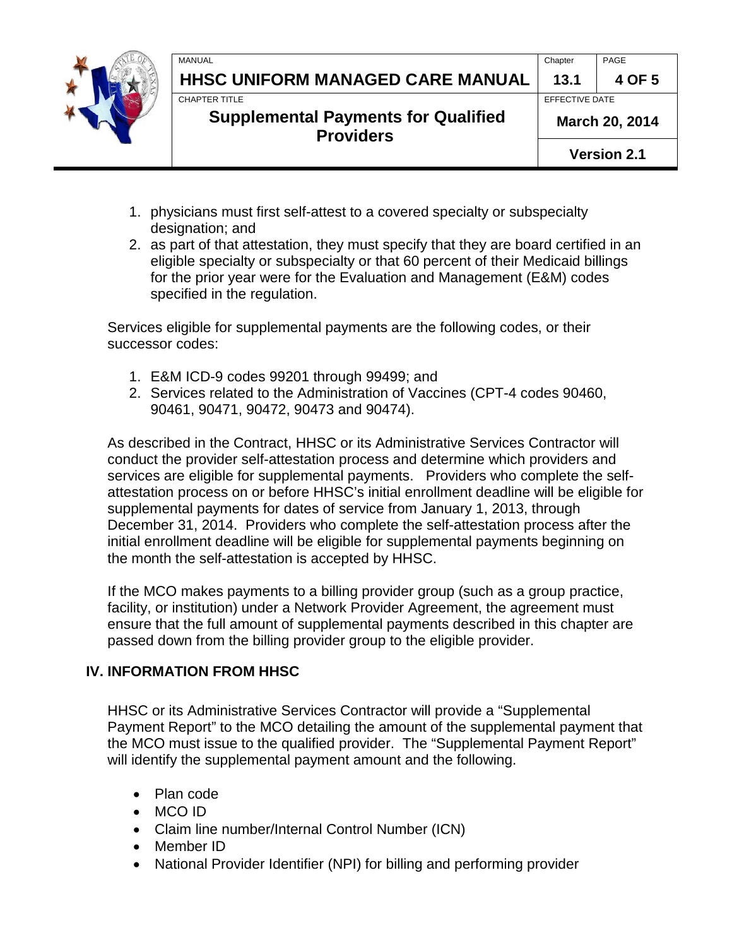| MANUAL                                                         | Chapter            | PAGE           |  |
|----------------------------------------------------------------|--------------------|----------------|--|
| HHSC UNIFORM MANAGED CARE MANUAL                               | 13.1               | 4 OF 5         |  |
| <b>CHAPTER TITLE</b>                                           |                    | EFFECTIVE DATE |  |
| <b>Supplemental Payments for Qualified</b><br><b>Providers</b> |                    | March 20, 2014 |  |
|                                                                | <b>Version 2.1</b> |                |  |
|                                                                |                    |                |  |

- 1. physicians must first self-attest to a covered specialty or subspecialty designation; and
- 2. as part of that attestation, they must specify that they are board certified in an eligible specialty or subspecialty or that 60 percent of their Medicaid billings for the prior year were for the Evaluation and Management (E&M) codes specified in the regulation.

Services eligible for supplemental payments are the following codes, or their successor codes:

- 1. E&M ICD-9 codes 99201 through 99499; and
- 2. Services related to the Administration of Vaccines (CPT-4 codes 90460, 90461, 90471, 90472, 90473 and 90474).

As described in the Contract, HHSC or its Administrative Services Contractor will conduct the provider self-attestation process and determine which providers and services are eligible for supplemental payments. Providers who complete the selfattestation process on or before HHSC's initial enrollment deadline will be eligible for supplemental payments for dates of service from January 1, 2013, through December 31, 2014. Providers who complete the self-attestation process after the initial enrollment deadline will be eligible for supplemental payments beginning on the month the self-attestation is accepted by HHSC.

If the MCO makes payments to a billing provider group (such as a group practice, facility, or institution) under a Network Provider Agreement, the agreement must ensure that the full amount of supplemental payments described in this chapter are passed down from the billing provider group to the eligible provider.

### <span id="page-3-0"></span>**IV. INFORMATION FROM HHSC**

HHSC or its Administrative Services Contractor will provide a "Supplemental Payment Report" to the MCO detailing the amount of the supplemental payment that the MCO must issue to the qualified provider. The "Supplemental Payment Report" will identify the supplemental payment amount and the following.

- Plan code
- MCO ID
- Claim line number/Internal Control Number (ICN)
- Member ID
- National Provider Identifier (NPI) for billing and performing provider